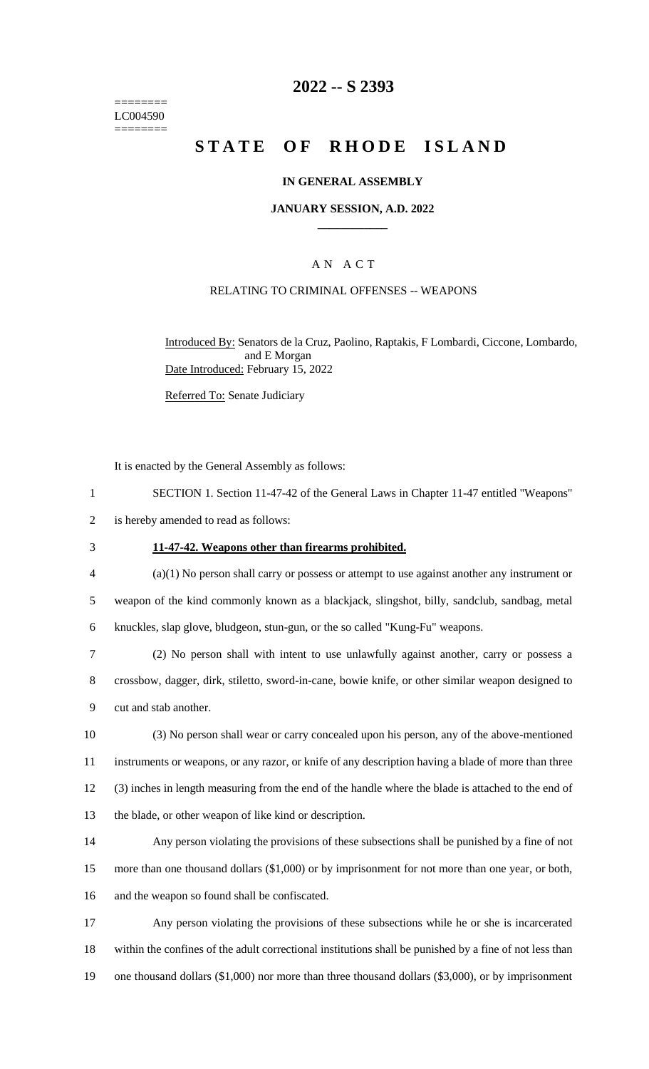======== LC004590 ========

## **2022 -- S 2393**

# **STATE OF RHODE ISLAND**

## **IN GENERAL ASSEMBLY**

### **JANUARY SESSION, A.D. 2022 \_\_\_\_\_\_\_\_\_\_\_\_**

## A N A C T

## RELATING TO CRIMINAL OFFENSES -- WEAPONS

Introduced By: Senators de la Cruz, Paolino, Raptakis, F Lombardi, Ciccone, Lombardo, and E Morgan Date Introduced: February 15, 2022

Referred To: Senate Judiciary

It is enacted by the General Assembly as follows:

1 SECTION 1. Section 11-47-42 of the General Laws in Chapter 11-47 entitled "Weapons"

2 is hereby amended to read as follows:

## 3 **11-47-42. Weapons other than firearms prohibited.**

4 (a)(1) No person shall carry or possess or attempt to use against another any instrument or 5 weapon of the kind commonly known as a blackjack, slingshot, billy, sandclub, sandbag, metal 6 knuckles, slap glove, bludgeon, stun-gun, or the so called "Kung-Fu" weapons.

7 (2) No person shall with intent to use unlawfully against another, carry or possess a 8 crossbow, dagger, dirk, stiletto, sword-in-cane, bowie knife, or other similar weapon designed to 9 cut and stab another.

 (3) No person shall wear or carry concealed upon his person, any of the above-mentioned instruments or weapons, or any razor, or knife of any description having a blade of more than three (3) inches in length measuring from the end of the handle where the blade is attached to the end of the blade, or other weapon of like kind or description.

14 Any person violating the provisions of these subsections shall be punished by a fine of not 15 more than one thousand dollars (\$1,000) or by imprisonment for not more than one year, or both, 16 and the weapon so found shall be confiscated.

17 Any person violating the provisions of these subsections while he or she is incarcerated 18 within the confines of the adult correctional institutions shall be punished by a fine of not less than 19 one thousand dollars (\$1,000) nor more than three thousand dollars (\$3,000), or by imprisonment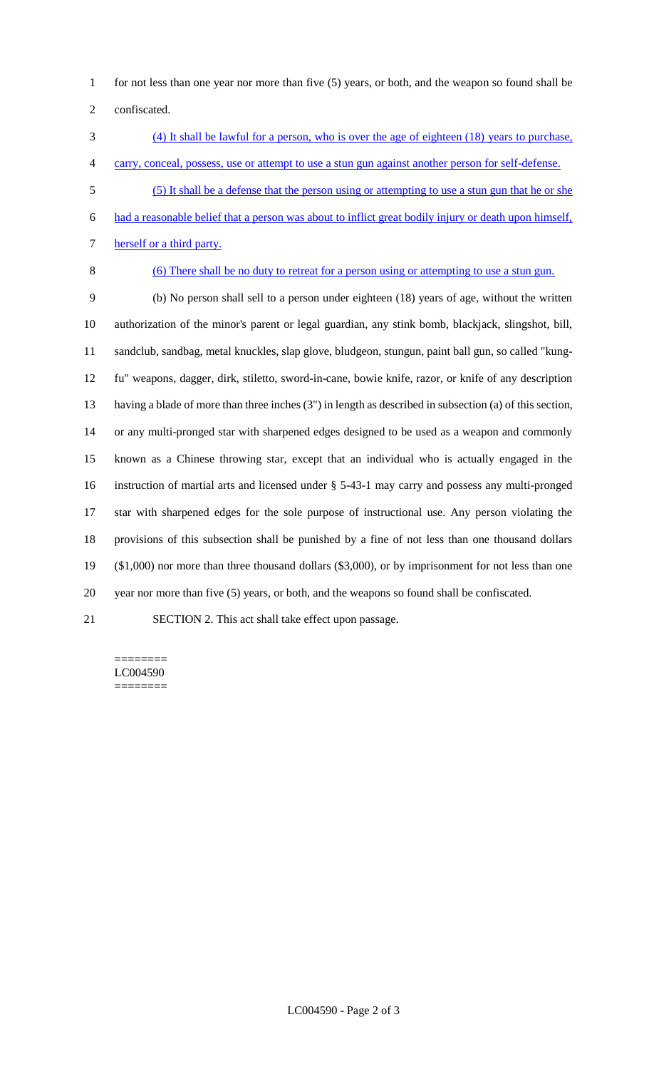for not less than one year nor more than five (5) years, or both, and the weapon so found shall be

confiscated.

- (4) It shall be lawful for a person, who is over the age of eighteen (18) years to purchase, carry, conceal, possess, use or attempt to use a stun gun against another person for self-defense.
- (5) It shall be a defense that the person using or attempting to use a stun gun that he or she
- had a reasonable belief that a person was about to inflict great bodily injury or death upon himself,

7 herself or a third party.

- 
- (6) There shall be no duty to retreat for a person using or attempting to use a stun gun.

 (b) No person shall sell to a person under eighteen (18) years of age, without the written authorization of the minor's parent or legal guardian, any stink bomb, blackjack, slingshot, bill, sandclub, sandbag, metal knuckles, slap glove, bludgeon, stungun, paint ball gun, so called "kung- fu" weapons, dagger, dirk, stiletto, sword-in-cane, bowie knife, razor, or knife of any description having a blade of more than three inches (3") in length as described in subsection (a) of this section, or any multi-pronged star with sharpened edges designed to be used as a weapon and commonly known as a Chinese throwing star, except that an individual who is actually engaged in the instruction of martial arts and licensed under § 5-43-1 may carry and possess any multi-pronged star with sharpened edges for the sole purpose of instructional use. Any person violating the provisions of this subsection shall be punished by a fine of not less than one thousand dollars (\$1,000) nor more than three thousand dollars (\$3,000), or by imprisonment for not less than one year nor more than five (5) years, or both, and the weapons so found shall be confiscated.

SECTION 2. This act shall take effect upon passage.

#### ======== LC004590 ========